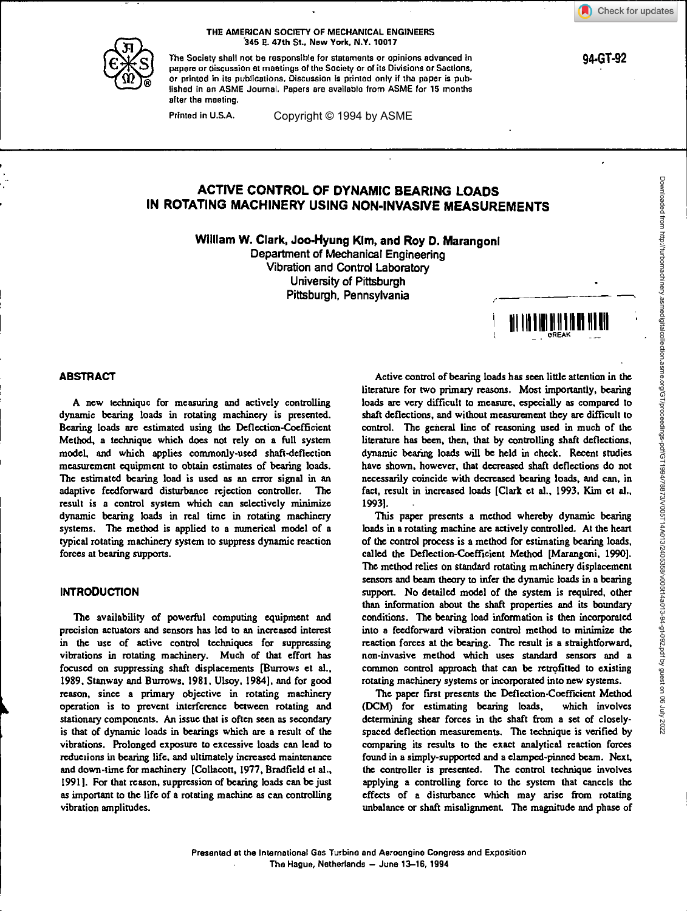94-GT-92



THE AMERICAN SOCIETY OF MECHANICAL ENGINEERS .345 E. 47th St., New York, N.Y. 10017

The Society shall not be responsible for statements or opinions advanced in papers or discussion at meetings of the Society or of its Divisions or Sections, or printed In its publications. Discussion is printed only if the paper is published in an ASME Journal. Papers are available from ASME for 15 months after the meeting.

Printed in U.S.A.

Copyright © 1994 by ASME

# **ACTIVE CONTROL OF DYNAMIC BEARING LOADS IN ROTATING MACHINERY USING NON-INVASIVE MEASUREMENTS**

**William W. Clark, Joo-Hyung Klm, and Roy D. Marangonl** 

Department of Mechanical Engineering Vibration and Control Laboratory University of Pittsburgh Pittsburgh, Pennsylvania



# **ABSTRACT**

A new technique for measuring and actively controlling dynamic bearing loads in rotating machinery is presented. Bearing loads are estimated using the Deflection-Coefficient Method, a technique which does not rely on a full system model, and which applies commonly-used shaft-deflection measurement equipment to obtain estimates of bearing loads. The estimated bearing load is used as an error signal in an adaptive feedforward disturbance rejection controller. The result is a control system which can selectively minimize dynamic bearing loads in real time in rotating machinery systems. The method is applied to a numerical model of a typical rotating machinery system to suppress dynamic reaction forces at bearing supports.

### **INTRODUCTION**

The availability of powerful computing equipment and precision actuators and sensors has led to an increased interest in the use of active control techniques for suppressing vibrations in rotating machinery. Much of that effort has focused on suppressing shaft displacements [Burrows et al., 1989. Stanway and Burrows, 1981, Ulsoy, 1984), and for good reason, since a primary objective in rotating machinery operation is to prevent interference between rotating and stationary components. An issue that is often seen as secondary is that of dynamic loads in bearings which are a result of the vibrations. Prolonged exposure to excessive loads can lead to reductions in bearing life, and ultimately increased maintenance and down-time for machinery [Collacott, 1977, Bradfield et al., 1991). For that reason, suppression of bearing loads can be just as important to the life of a rotating machine as can controlling vibration amplitudes.

Active control of bearing loads has seen little attention in the literature for two primary reasons. Most importantly, bearing loads are very difficult to measure, especially as compared to shaft deflections, and without measurement they are difficult to control. The general line of reasoning used in much of the literature has been, then, that by controlling shaft deflections, dynamic bearing loads will be held in cheek. Recent studies have shown, however, that decreased shaft deflections do not necessarily coincide with decreased bearing loads, and can, in fact, result in increased loads [Clark et al., 1993, Kim et al., 1993).

This paper presents a method whereby dynamic bearing loads in a rotating machine are actively controlled. At the heart of the control process is a method for estimating bearing loads, called the Deflection-Coefficient Method [Marangoni, 1990]. The method relies on standard rotating machinery displacement sensors and beam theory to infer the dynamic loads in a bearing support. No detailed model of the system is required, other than information about the shaft properties and its boundary conditions. The bearing load information is then incorporated into a feedfonvard vibration control method to minimize the reaction forces at the bearing. The result is a straightforward, non-invasive method which uses standard sensors and a common control approach that can be retrofitted to existing rotating machinery systems or incorporated into new systems.

The paper first presents the Deflection-Coefficient Method<br>CM) for estimating bearing loads, which involves (DCM) for estimating bearing loads, determining shear forces in the shaft from a set of closelyspaced deflection measurements. The technique is verified by comparing its results to the exact analytical reaction forces found in a simply-supported and a clamped-pinned beam. Next, the controller is presented. The control technique involves applying a controlling force to the system that cancels the effects of a disturbance which may arise from rotating unbalance or shaft misalignment. The magnitude and phase of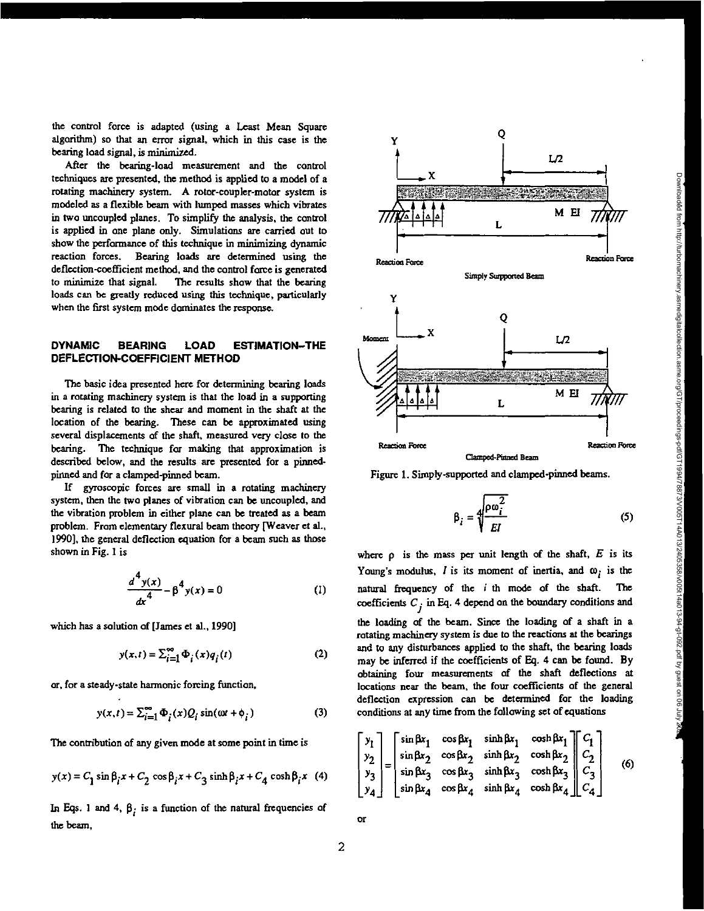Downloaded from http://turbomachinery.asmedigitalcollection.asme.org/GT/proceedings-pdf/GT1994/78873/V005T14A013/2405358/v005t14a013-94-gt-092.pdf by guest on 06 July 2022

Downbaded from http://turbomachinery.asmedigitalcollection.asme.org/GT/poceedings-pdf/GT19873/V06T144013/24053/2403/24093/24092491-992-pdf by guest on 06 July  $\bm{W}$ 

the control force is adapted (using a Least Mean Square algorithm) so that an error signal, which in this case is the bearing load signal, is minimized.

After the bearing-load measurement and the control techniques are presented, the method is applied to a model of a rotating machinery system. A rotor-coupler-motor system is modeled as a flexible beam with lumped masses which vibrates in two uncoupled planes. To simplify the analysis, the control is applied in one plane only. Simulations are carried out to show the performance of this technique in minimizing dynamic reaction forces. Bearing loads are determined using the deflection-coefficient method, and the control force is generated to minimize that signal. The results show that the bearing loads can be greatly reduced using this technique, particularly when the first system mode dominates the response.

### **DYNAMIC BEARING LOAD ESTIMATION—THE DEFLECTION-COEFFICIENT METHOD**

The basic idea presented here for determining bearing loads in a rotating machinery system is that the load in a supporting bearing is related to the shear and moment in the shaft at the location of the bearing. These can be approximated using several displacements of the shaft, measured very close to the bearing. The technique for making that approximation is described below, and the results are presented for a pinnedpinned and for a clamped-pinned beam.

If gyroscopic forces are small in a rotating machinery system, then the two planes of vibration can be uncoupled, and the vibration problem in either plane can be treated as a beam problem. From elementary flexural beam theory [Weaver et aL, 1990], the general deflection equation for a beam such as those shown in Fig. 1 is

$$
\frac{d^4 y(x)}{dx^4} - \beta^4 y(x) = 0
$$
 (1)

which has a solution of (James et al., 1990]

$$
y(x,t) = \sum_{i=1}^{\infty} \Phi_i(x) q_i(t)
$$
 (2)

or, for a steady-state hannonic forcing function,

$$
y(x,t) = \sum_{i=1}^{\infty} \Phi_i(x) Q_i \sin(\omega t + \phi_i)
$$
 (3)

The contribution of any given mode at some point in time is

$$
y(x) = C_1 \sin \beta_i x + C_2 \cos \beta_i x + C_3 \sinh \beta_i x + C_4 \cosh \beta_i x
$$
 (4)

In Eqs. 1 and 4,  $\beta$ ; is a function of the natural frequencies of the beam,





**Clamped-Finned Beam** 



$$
\beta_i = \sqrt[4]{\frac{\rho \omega_i^2}{EI}} \tag{5}
$$

where  $\rho$  is the mass per unit length of the shaft,  $E$  is its Young's modulus,  $I$  is its moment of inertia, and  $\omega_i$  is the natural frequency of the i th mode of the shaft. The coefficients  $C_i$  in Eq. 4 depend on the boundary conditions and the loading of the beam. Since the loading of a shaft in a rotating machinery system is due to the reactions at the bearings and to any disturbances applied to the shaft, the bearing loads may be inferred if the coefficients of Eq. 4 can be found. By obtaining four measurements of the shaft deflections at locations near the beam, the four coefficients of the general deflection expression can be determined for the loading conditions at any time from the following set of equations

$$
\begin{bmatrix} y_1 \\ y_2 \\ y_3 \\ y_4 \end{bmatrix} = \begin{bmatrix} \sin \beta x_1 & \cos \beta x_1 & \sinh \beta x_1 & \cosh \beta x_1 \\ \sin \beta x_2 & \cos \beta x_2 & \sinh \beta x_2 & \cosh \beta x_2 \\ \sin \beta x_3 & \cos \beta x_3 & \sinh \beta x_3 & \cosh \beta x_3 \\ \sin \beta x_4 & \cos \beta x_4 & \sinh \beta x_4 & \cosh \beta x_4 \end{bmatrix} \begin{bmatrix} C_1 \\ C_2 \\ C_3 \\ C_4 \end{bmatrix}
$$
 (6)

2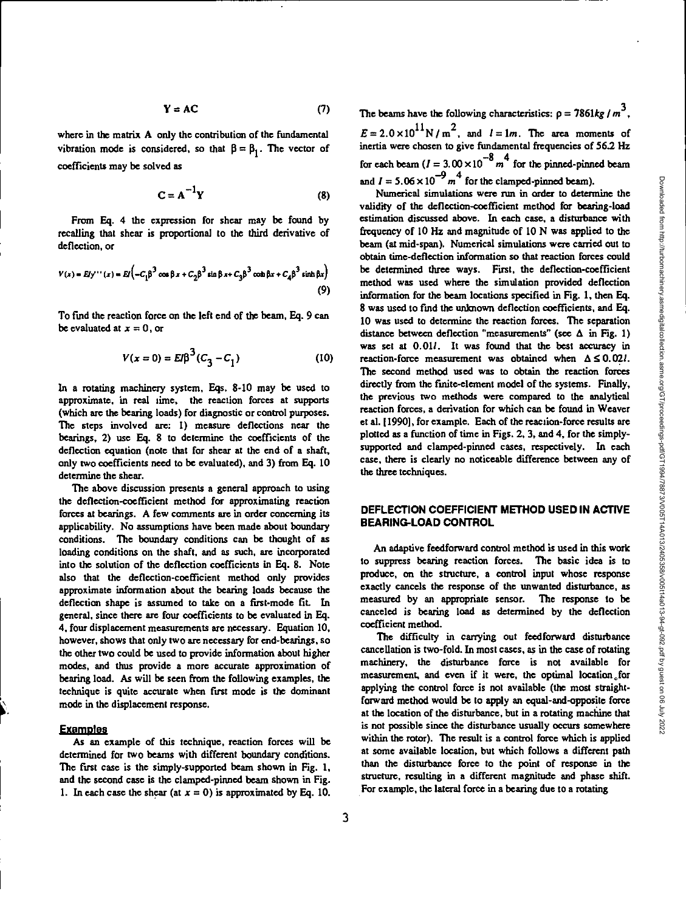$$
Y = AC \tag{7}
$$

where in the matrix A only the contribution of the fundamental vibration mode is considered, so that  $\beta = \beta_1$ . The vector of coefficients may be solved as

$$
C = A^{-1}Y
$$
 (8)

From Eq. 4 the expression for shear may be found by recalling that shear is proportional to the third derivative of deflection, **Or** 

$$
V(x) = E f y''(x) = E f \left( -C_1 \beta^3 \cos \beta x + C_2 \beta^3 \sin \beta x + C_3 \beta^3 \cosh \beta x + C_4 \beta^3 \sinh \beta x \right)
$$
\n(9)

To find the reaction force on the left end of the beam, Eq. 9 can be evaluated at  $x = 0$ , or

$$
V(x=0) = EI\beta^{3}(C_3 - C_1)
$$
 (10)

In a rotating machinery system. Eqs. 8-10 may be used to approximate, in real time, the reaction forces at supports (which are the bearing loads) for diagnostic or control purposes. The steps involved are: 1) measure deflections near the bearings, 2) use Eq. 8 to determine the coefficients of the deflection equation (note that for shear at the end of a shaft, only two coefficients need to be evaluated), and 3) from Eq. 10 determine the shear.

The above discussion presents a general approach to using the deflection-coefficient method for approximating reaction forces at bearings. A few comments are in order concerning its applicability. No assumptions have been made about boundary conditions. The boundary conditions can be thought of as loading conditions on the shaft, and as such, are incorporated into the solution of the deflection coefficients in Eq. 8. Note also that the deflection-coefficient method only provides approximate information about the bearing loads because the deflection shape is assumed to take on a first-mode fit. In general, since there are four coefficients to be evaluated in Eq. 4, four displacement measurements are necessary. Equation 10, however, shows that only two are necessary for end-bearings, so the other two could be used to provide information about higher modes, and thus provide a more accurate approximation of bearing load. As will be seen from the following examples, the technique is quite accurate when first mode is the dominant mode in the displacement response.

#### **Exams:des**

As an example of this technique, reaction forces will be determined for two beams with different boundary conditions. The first case is the simply-supported beam shown in Fig. 1, and the second case is the clamped-pinned beam shown in Fig. 1. In each case the shear (at  $x = 0$ ) is approximated by Eq. 10.

The beams have the following characteristics:  $\rho = 7861kg/m^3$ ,  $E = 2.0 \times 10^{11} \text{ N/m}^2$ , and  $l = 1m$ . The area moments of inertia were chosen to give fundamental frequencies of 56.2 Hz for each beam  $(I = 3.00 \times 10^{-8} m^4$  for the pinned-pinned beam and  $I = 5.06 \times 10^{-9} m^4$  for the clamped-pinned beam).

Numerical simulations were run in order to determine the validity of the deflection-coefficient method for bearing-load estimation discussed above. In each case, a disturbance with frequency of 10 Hz and magnitude of ION was applied to the beam (at mid-span). Numerical simulations were carried out to obtain time-deflection information so that reaction forces could be determined three ways. First, the deflection-coefficient method was used where the simulation provided deflection information for the beam locations specified in Fig. 1, then Eq. 8 was used to find the unknown deflection coefficients, and Eq. 10 was used to determine the reaction forces. The separation distance between deflection "measurements" (see  $\Delta$  in Fig. 1) was set at  $0.01l$ . It was found that the best accuracy in reaction-force measurement was obtained when  $\Delta \leq 0.02l$ . The second method used was to obtain the reaction forces directly from the finite-element model of the systems. Finally, the previous two methods were compared to the analytical reaction forces, a derivation for which can be found in Weaver et al. [1990], for example. Each of the reaction-force results are plotted as a function of time in Figs. 2, 3, and 4, for the simplysupported and clamped-pinned cases, respectively. In each case, there is clearly no noticeable difference between any of the three techniques.

# **DEFLECTION COEFFICIENT METHOD USED IN ACTIVE BEARING-LOAD CONTROL**

An adaptive feedforward control method is used in this work to suppress bearing reaction forces. The basic idea is to produce, on the structure, a control input whose response exactly cancels the response of the unwanted disturbance, as measured by an appropriate sensor. The response to be canceled is bearing load as determined by the deflection coefficient method.

The difficulty in carrying out feedforward disturbance cancellation is two-fold. In most cases, as in the case of rotating machinery, the disturbance force is not available for measurement, and even if it were, the optimal location for applying the control force is not available (the most straightforward method would be to apply an equal-and-opposite force at the location of the disturbance, but in a rotating machine that is not possible since the disturbance usually occurs somewhere within the rotor). The result is a control force which is applied at some available location, but which follows a different path than the disturbance force to the point of response in the structure, resulting in a different magnitude and phase shift. For example, the lateral force in a bearing due to a rotating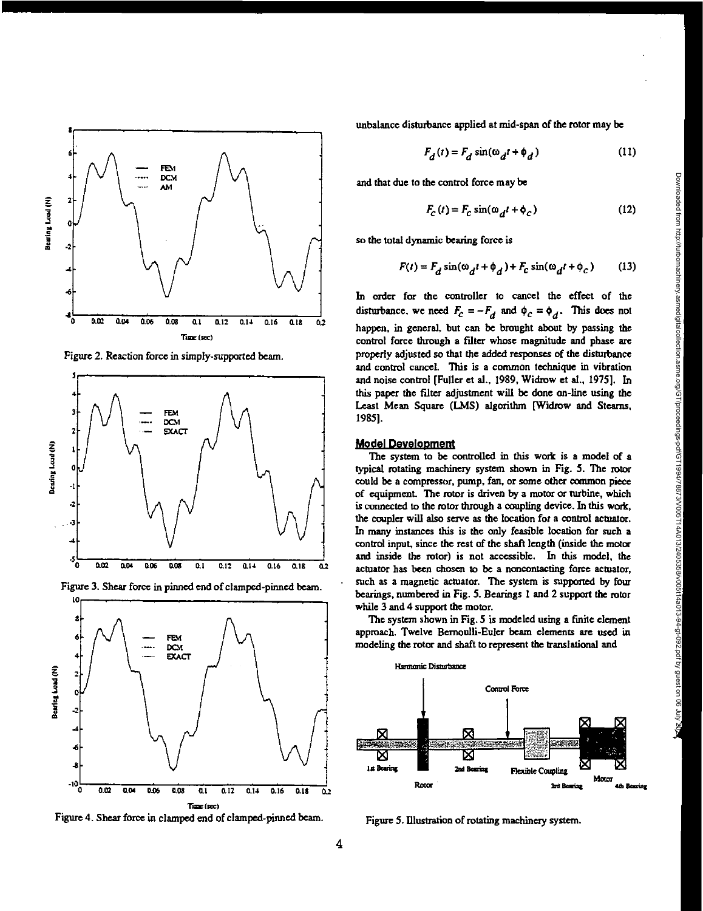

Figure 2. Reaction force in simply-supported beam.



Figure 3. Shear force in pinned end of clamped-pinned beam.



Figure 4. Shear force in clamped end of clamped-pinned beam.

unbalance disturbance applied at mid-span of the rotor may be

$$
F_d(t) = F_d \sin(\omega_d t + \phi_d)
$$
 (11)

and that due to the control force may be

$$
F_C(t) = F_C \sin(\omega_d t + \phi_C)
$$
 (12)

so the total dynamic bearing force is

$$
F(t) = F_d \sin(\omega_d t + \phi_d) + F_c \sin(\omega_d t + \phi_c)
$$
 (13)

In order for the controller to cancel the effect of the disturbance, we need  $F_c = -F_d$  and  $\phi_c = \phi_d$ . This does not happen, in general, but can be brought about by passing the control force through a filter whose magnitude and phase are properly adjusted so that the added responses of the disturbance and control cancel. This is a common technique in vibration and noise control [Fuller et al., 1989, Widrow et al., 1975]. In this paper the filter adjustment will be done on-line using the Least Mean Square (LMS) algorithm [Widrow and Steams, 1985].

#### **Model Development**

The system to be controlled in this work is a model of a typical rotating machinery system shown in Fig. 5. The rotor could be a compressor, pump, fan, or some other common piece of equipment. The rotor is driven by a motor or turbine, which is connected to the rotor through a coupling device. In this work, the coupler will also serve as the location for a control actuator. In many instances this is the only feasible location for such a control input, since the rest of the shaft length (inside the motor and inside the rotor) is not accessible. In this model, the actuator has been chosen to be a noncontacting force actuator, such as a magnetic actuator. The system is supported by four bearings, numbered in Fig. 5. Bearings 1 and 2 support the rotor while 3 and 4 support the motor.

The system shown in Fig. 5 is modeled using a finite element approach. Twelve Bernoulli-Euler beam elements are used in modeling the rotor and shaft to represent the translational and



Figure 5. Illustration of rotating machinery system.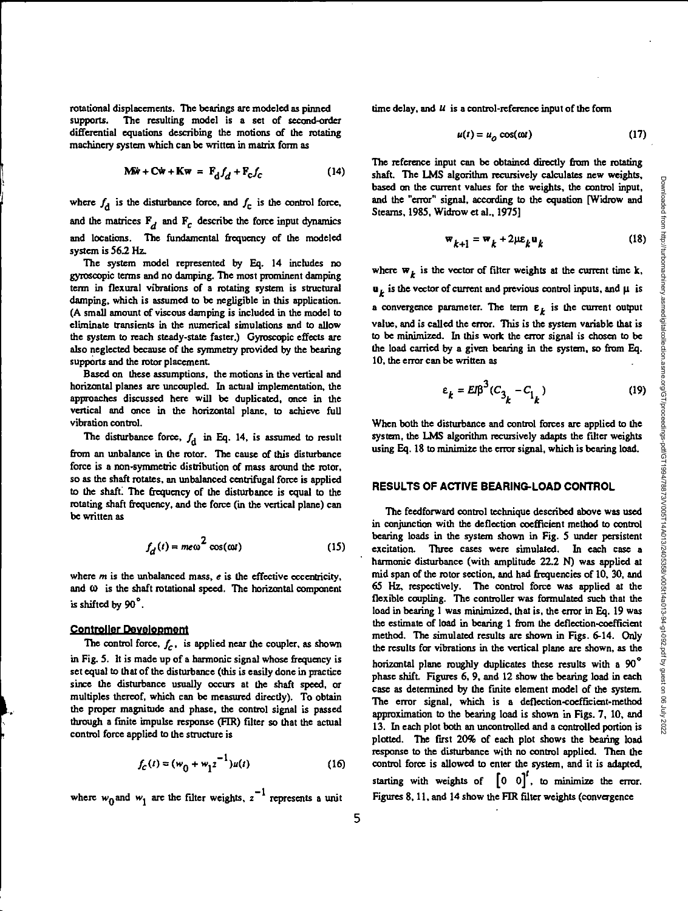rotational displacements. The bearings are modeled as pinned supports. The resulting model is a set of second-order differential equations describing the motions of the rotating machinery system which can be written in matrix form as

$$
\mathbf{M}\ddot{\mathbf{w}} + \mathbf{C}\dot{\mathbf{w}} + \mathbf{K}\mathbf{w} = \mathbf{F}_{\dot{\mathbf{d}}}f_{d} + \mathbf{F}_{\mathbf{C}}f_{\mathbf{C}} \tag{14}
$$

where  $f_d$  is the disturbance force, and  $f_c$  is the control force, and the matrices  $F_d$  and  $F_c$  describe the force input dynamics and locations. The fundamental frequency of the modeled system is 56.2 Hz.

The system model represented by Eq. 14 includes no gyroscopic terms and no damping. The most prominent damping term in flexural vibrations of a rotating system is structural damping, which is assumed to be negligible in this application. (A small amount of viscous damping is included in the model to eliminate transients in the numerical simulations and to allow the system to reach steady-state faster.) Gyroscopic effects are also neglected because of the symmetry provided by the bearing supports and the rotor placement.

Based on these assumptions, the motions in the vertical and horizontal planes are uncoupled. In actual implementation, the approaches discussed here will be duplicated, once in the vertical and once in the horizontal plane, to achieve full vibration control.

The disturbance force,  $f_d$  in Eq. 14, is assumed to result from an unbalance in the rotor. The cause of this disturbance force is a non-symmetric distribution of mass around the rotor, so as the shaft rotates, an unbalanced centrifugal force is applied to the shaft. The frequency of the disturbance is equal to the rotating shaft frequency, and the force (in the vertical plane) can be written as

$$
f_d(t) = me\omega^2 \cos(\omega t) \tag{15}
$$

where **m** is the unbalanced mass, **e** is the effective eccentricity, and  $\omega$  is the shaft rotational speed. The horizontal component is shifted by 90<sup>°</sup>.

## **Controller Development**

The control force,  $f_c$ , is applied near the coupler, as shown

in Fig. 5. It is made up of a harmonic signal whose frequency is set equal to that of the disturbance (this is easily done in practice since the disturbance usually occurs at the shaft speed, or multiples thereof, which can be measured directly). To obtain the proper magnitude and phase, the control signal is passed through a finite impulse response (FIR) filter so that the actual control force applied to the structure is

$$
f_C(t) = (w_0 + w_1 z^{-1})u(t)
$$
 (16)

where  $w_0$  and  $w_1$  are the filter weights,  $z^{-1}$  represents a unit

time delay, and  $U$  is a control-reference input of the form

$$
u(t) = u_o \cos(\omega t) \tag{17}
$$

The reference input can be obtained directly from the rotating shaft. The LMS algorithm recursively calculates new weights, based on the current values for the weights, the control input. and the "error" signal, according to the equation [Widrow and Stearns, 1985, Widrow et al., 1975]

$$
\mathbf{w}_{k+1} = \mathbf{w}_k + 2\mu \varepsilon_k \mathbf{u}_k \tag{18}
$$

where  $w_k$  is the vector of filter weights at the current time k,  $\mathbf{u}_k$  is the vector of current and previous control inputs, and  $\mu$  is a convergence parameter. The term  $\varepsilon_k$  is the current output value, and is called the error. This is the system variable that is to be minimized. In this work the error signal is chosen to be the load carried by a given bearing in the system, so from Eq. 10, the error can be written as

$$
\varepsilon_k = EIB^3 (C_{3_k} - C_{1_k})
$$
 (19)

When both the disturbance and control forces are applied to the system, the LMS algorithm recursively adapts the filter weights using Eq. 18 to minimize the error signal, which is bearing load.

# **RESULTS OF ACTIVE BEARING-LOAD CONTROL**

The feedforward control technique described above was used in conjunction with the deflection coefficient method to control bearing loads in the system shown in Fig. 5 under persistent excitation. Three cases were simulated. In each case a harmonic disturbance (with amplitude 22-2 N) was applied at mid span of the rotor section, and had frequencies of 10, 30, and 65 Hz, respectively. The control force was applied at the flexible coupling. The controller was formulated such that the load in bearing 1 was minimized, that is, the error in Eq. 19 was the estimate of load in bearing 1 from the deflection-coefficient method. The simulated results are shown in Figs. 6-14. Only the results for vibrations in the vertical plane are shown, as the horizontal plane roughly duplicates these results with a 90° phase shift. Figures 6,9, and 12 show the bearing load in each case as determined by the finite element model of the system. The error signal, which is a deflection-coefficient-method approximation to the bearing load is shown in Figs. 7, 10, and 13. In each plot both an uncontrolled and a controlled portion is plotted. The first 20% of each plot shows the bearing load response to the disturbance with no control applied. Then the control force is allowed to enter the system, and it is adapted, starting with weights of  $\begin{bmatrix} 0 & 0 \end{bmatrix}^t$ , to minimize the error. Figures 8, 11, and 14 show the FIR filter weights (convergence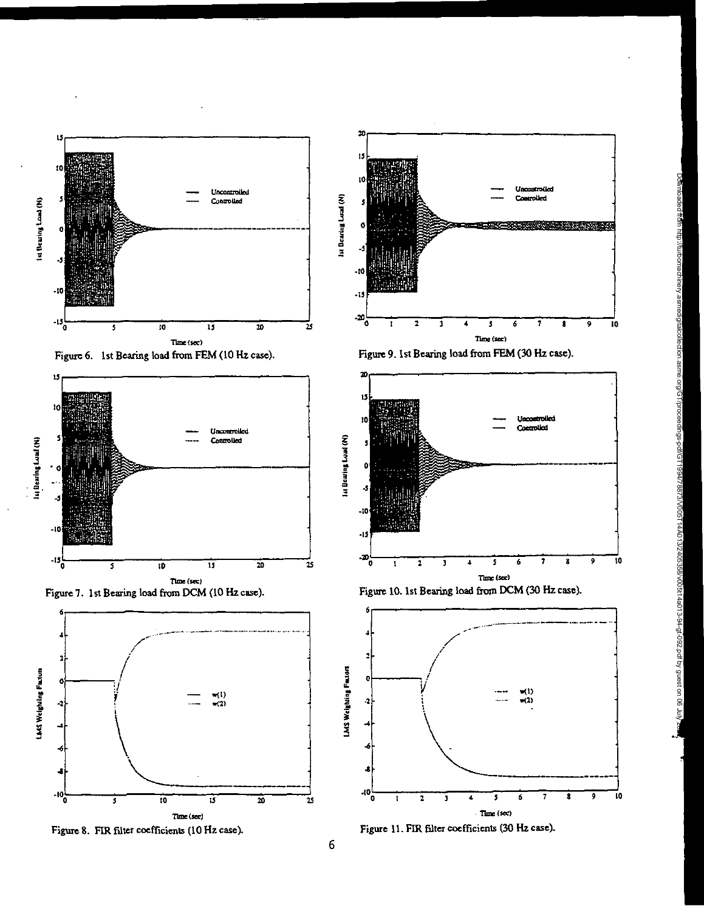

















**III DearingLual (N)** 

**Lu Bearing Load (N)**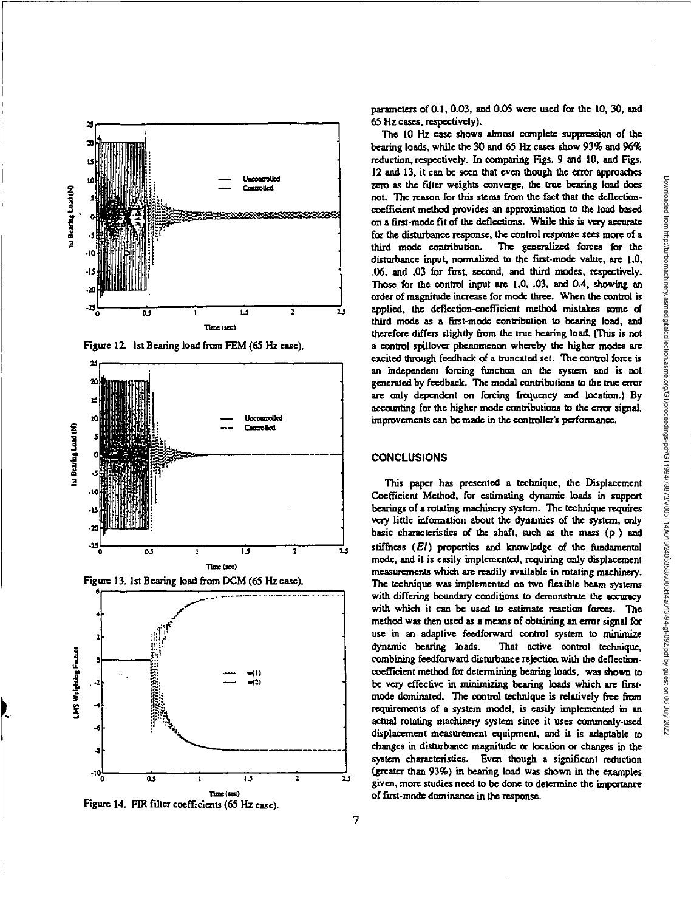

**Figure 12. 1st Bearing load from FEM (65 Hz case).** 







**Figure 14. FIR filter coefficients (65 Hz case).** 

**parameters of 0.1, 0.03, and 0.05 were used for the 10, 30, and 65 Hz cases, respectively).** 

**The 10 Hz case shows almost complete suppression of the bearing loads, while the 30 and 65 Hz cases show** 93% **and 96% reduction, respectively. In comparing Figs. 9 and 10, and Figs. 12 and 13, it can be seen that even though the error approaches zero as the filter weights converge, the true bearing load does not. The reason for this stems from the fact that the deflectioncoefficient method provides an approximation to the load based on a first-mode fit of the deflections. While this is very accurate for the disturbance response, the control response sees more of a third mode contribution. The generalized forces for the disturbance input, normalized to the first-mode value, are 1.0, .06, and .03 for first, second, and third modes, respectively. Those for the control input are 1.0, .03, and 0.4, showing an order of magnitude increase for mode three. When the control is applied, the deflection-coefficient method mistakes some** *d*  **third mode as a first-mode contribution to bearing load, and therefore differs slightly from the true bearing bad. (This is not a control spillover phenomenon whereby the higher modes are excited through feedback of a truncated set. The control force is an independent forcing function on the system and is not generated by feedback. The modal contributions to the true error are only dependent on forcing frequency and location.) By accounting for the higher mode contributions to the error signal, improvements can be made in the controller's performance.** 

# **CONCLUSIONS**

**This paper has presented a technique, the Displacement Coefficient Method, for estimating dynamic loads in support bearings of a rotating machinery system. The technique requires very little information about the dynamics of the system, only basic characteristics of the shaft, such as the mass (p ) and**  stiffness (El) properties and knowledge of the fundamental **mode, and it is easily implemented, requiring only displacement measurements which are readily available in totaling machinery. The technique was implemented on two flexible beam systems with differing boundary conditions to demonstrate the accuracy with which it can be used to estimate reaction forces. The method was then used as a means of obtaining an error signal for use in an adaptive feedforward control system to minimize dynamic bearing loads. 'That active control technique, combining feedfonvard disturbance rejection with the deflectioncoefficient method for determining bearing loads, was shown to**  be very effective in minimizing bearing loads which are first**mode dominated. The control technique is relatively free from requirements of a system model, is easily implemented in an actual rotating machinery system since it uses commonly-used displacement measurement equipment, and it is adaptable to changes in disturbance magnitude or location or changes in the system characteristics. Even though a significant reduction (greater than 93%) in bearing load was shown in the examples given, more studies need to be done to determine the importance of first-mode dominance in the response.**